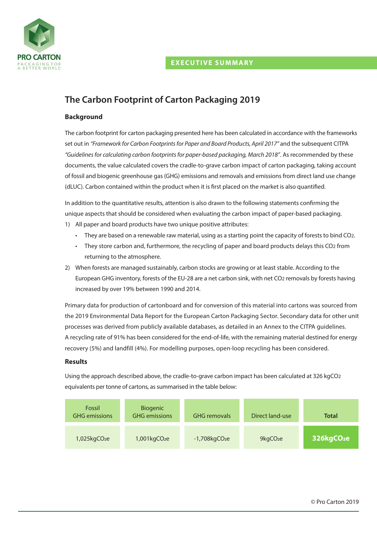# **EXECUTIVE SUMMARY**



# **The Carbon Footprint of Carton Packaging 2019**

## **Background**

The carbon footprint for carton packaging presented here has been calculated in accordance with the frameworks set out in *"Framework for Carbon Footprintsfor Paper and Board Products, April 2017"* and the subsequent CITPA *"Guidelinesfor calculating carbon footprintsfor paper-based packaging, March 2018"*. As recommended by these documents, the value calculated covers the cradle-to-grave carbon impact of carton packaging, taking account of fossil and biogenic greenhouse gas (GHG) emissions and removals and emissions from direct land use change (dLUC). Carbon contained within the product when it is first placed on the market is also quantified.

In addition to the quantitative results, attention is also drawn to the following statements confirming the unique aspects that should be considered when evaluating the carbon impact of paper-based packaging.

- 1) All paper and board products have two unique positive attributes:
	- They are based on a renewable raw material, using as a starting point the capacity of forests to bind CO2.
	- They store carbon and, furthermore, the recycling of paper and board products delays this CO2 from returning to the atmosphere.
- 2) When forests are managed sustainably, carbon stocks are growing or at least stable. According to the European GHG inventory, forests of the EU-28 are a net carbon sink, with net CO2 removals by forests having increased by over 19% between 1990 and 2014.

Primary data for production of cartonboard and for conversion of this material into cartons was sourced from the 2019 Environmental Data Report for the European Carton Packaging Sector. Secondary data for other unit processes was derived from publicly available databases, as detailed in an Annex to the CITPA guidelines. A recycling rate of 91% has been considered for the end-of-life, with the remaining material destined for energy recovery (5%) and landfill (4%). For modelling purposes, open-loop recycling has been considered.

### **Results**

Using the approach described above, the cradle-to-grave carbon impact has been calculated at 326 kgCO2 equivalents per tonne of cartons, as summarised in the table below: